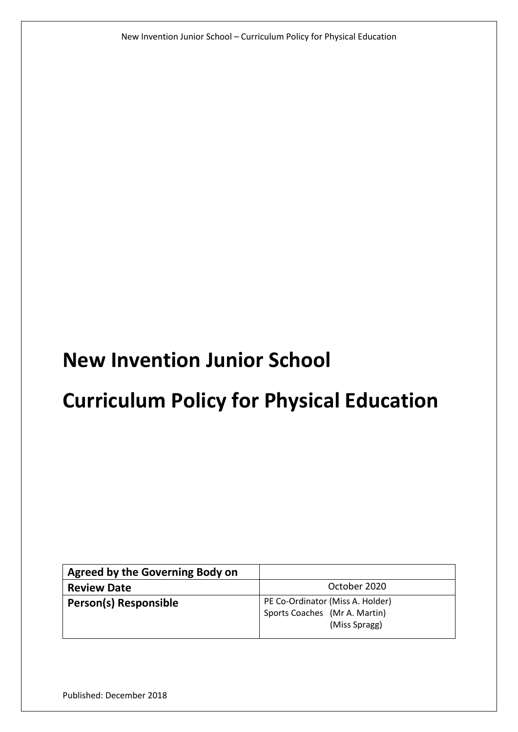New Invention Junior School – Curriculum Policy for Physical Education

# **New Invention Junior School**

# **Curriculum Policy for Physical Education**

| Agreed by the Governing Body on |                                                                                    |
|---------------------------------|------------------------------------------------------------------------------------|
| <b>Review Date</b>              | October 2020                                                                       |
| <b>Person(s) Responsible</b>    | PE Co-Ordinator (Miss A. Holder)<br>Sports Coaches (Mr A. Martin)<br>(Miss Spragg) |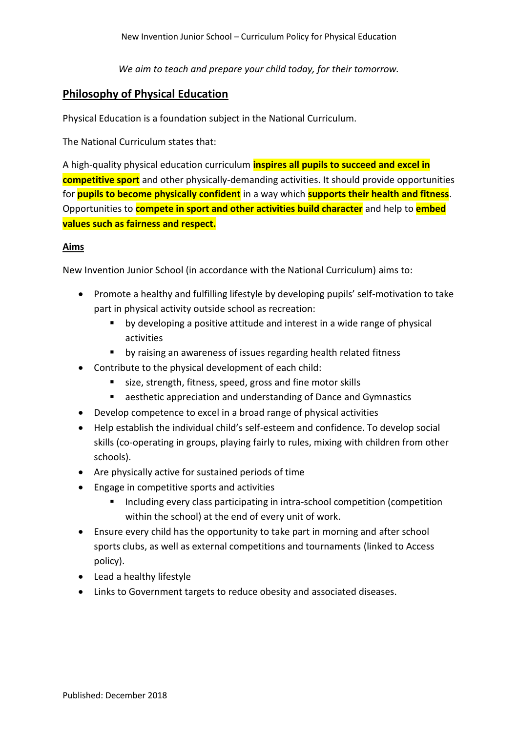*We aim to teach and prepare your child today, for their tomorrow.*

# **Philosophy of Physical Education**

Physical Education is a foundation subject in the National Curriculum.

The National Curriculum states that:

A high-quality physical education curriculum **inspires all pupils to succeed and excel in competitive sport** and other physically-demanding activities. It should provide opportunities for **pupils to become physically confident** in a way which **supports their health and fitness**. Opportunities to **compete in sport and other activities build character** and help to **embed values such as fairness and respect.**

#### **Aims**

New Invention Junior School (in accordance with the National Curriculum) aims to:

- Promote a healthy and fulfilling lifestyle by developing pupils' self-motivation to take part in physical activity outside school as recreation:
	- **•** by developing a positive attitude and interest in a wide range of physical activities
	- **•** by raising an awareness of issues regarding health related fitness
- Contribute to the physical development of each child:
	- size, strength, fitness, speed, gross and fine motor skills
	- aesthetic appreciation and understanding of Dance and Gymnastics
- Develop competence to excel in a broad range of physical activities
- Help establish the individual child's self-esteem and confidence. To develop social skills (co-operating in groups, playing fairly to rules, mixing with children from other schools).
- Are physically active for sustained periods of time
- Engage in competitive sports and activities
	- Including every class participating in intra-school competition (competition within the school) at the end of every unit of work.
- Ensure every child has the opportunity to take part in morning and after school sports clubs, as well as external competitions and tournaments (linked to Access policy).
- Lead a healthy lifestyle
- Links to Government targets to reduce obesity and associated diseases.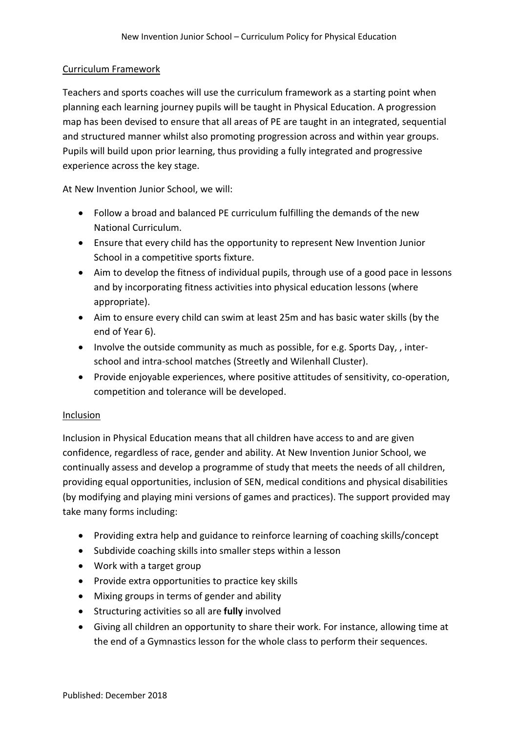#### Curriculum Framework

Teachers and sports coaches will use the curriculum framework as a starting point when planning each learning journey pupils will be taught in Physical Education. A progression map has been devised to ensure that all areas of PE are taught in an integrated, sequential and structured manner whilst also promoting progression across and within year groups. Pupils will build upon prior learning, thus providing a fully integrated and progressive experience across the key stage.

At New Invention Junior School, we will:

- Follow a broad and balanced PE curriculum fulfilling the demands of the new National Curriculum.
- Ensure that every child has the opportunity to represent New Invention Junior School in a competitive sports fixture.
- Aim to develop the fitness of individual pupils, through use of a good pace in lessons and by incorporating fitness activities into physical education lessons (where appropriate).
- Aim to ensure every child can swim at least 25m and has basic water skills (by the end of Year 6).
- Involve the outside community as much as possible, for e.g. Sports Day,, interschool and intra-school matches (Streetly and Wilenhall Cluster).
- Provide enjoyable experiences, where positive attitudes of sensitivity, co-operation, competition and tolerance will be developed.

#### Inclusion

Inclusion in Physical Education means that all children have access to and are given confidence, regardless of race, gender and ability. At New Invention Junior School, we continually assess and develop a programme of study that meets the needs of all children, providing equal opportunities, inclusion of SEN, medical conditions and physical disabilities (by modifying and playing mini versions of games and practices). The support provided may take many forms including:

- Providing extra help and guidance to reinforce learning of coaching skills/concept
- Subdivide coaching skills into smaller steps within a lesson
- Work with a target group
- Provide extra opportunities to practice key skills
- Mixing groups in terms of gender and ability
- Structuring activities so all are **fully** involved
- Giving all children an opportunity to share their work. For instance, allowing time at the end of a Gymnastics lesson for the whole class to perform their sequences.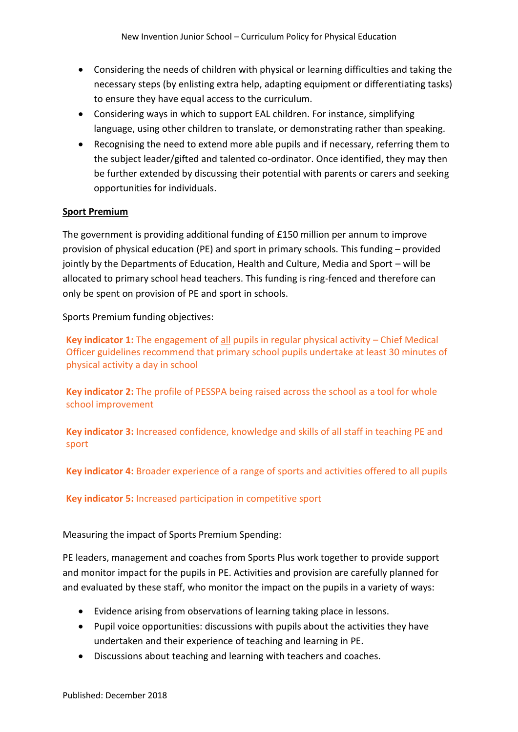- Considering the needs of children with physical or learning difficulties and taking the necessary steps (by enlisting extra help, adapting equipment or differentiating tasks) to ensure they have equal access to the curriculum.
- Considering ways in which to support EAL children. For instance, simplifying language, using other children to translate, or demonstrating rather than speaking.
- Recognising the need to extend more able pupils and if necessary, referring them to the subject leader/gifted and talented co-ordinator. Once identified, they may then be further extended by discussing their potential with parents or carers and seeking opportunities for individuals.

## **Sport Premium**

The government is providing additional funding of £150 million per annum to improve provision of physical education (PE) and sport in primary schools. This funding – provided jointly by the Departments of Education, Health and Culture, Media and Sport – will be allocated to primary school head teachers. This funding is ring-fenced and therefore can only be spent on provision of PE and sport in schools.

Sports Premium funding objectives:

**Key indicator 1:** The engagement of all pupils in regular physical activity – Chief Medical Officer guidelines recommend that primary school pupils undertake at least 30 minutes of physical activity a day in school

**Key indicator 2:** The profile of PESSPA being raised across the school as a tool for whole school improvement

**Key indicator 3:** Increased confidence, knowledge and skills of all staff in teaching PE and sport

**Key indicator 4:** Broader experience of a range of sports and activities offered to all pupils

**Key indicator 5:** Increased participation in competitive sport

Measuring the impact of Sports Premium Spending:

PE leaders, management and coaches from Sports Plus work together to provide support and monitor impact for the pupils in PE. Activities and provision are carefully planned for and evaluated by these staff, who monitor the impact on the pupils in a variety of ways:

- Evidence arising from observations of learning taking place in lessons.
- Pupil voice opportunities: discussions with pupils about the activities they have undertaken and their experience of teaching and learning in PE.
- Discussions about teaching and learning with teachers and coaches.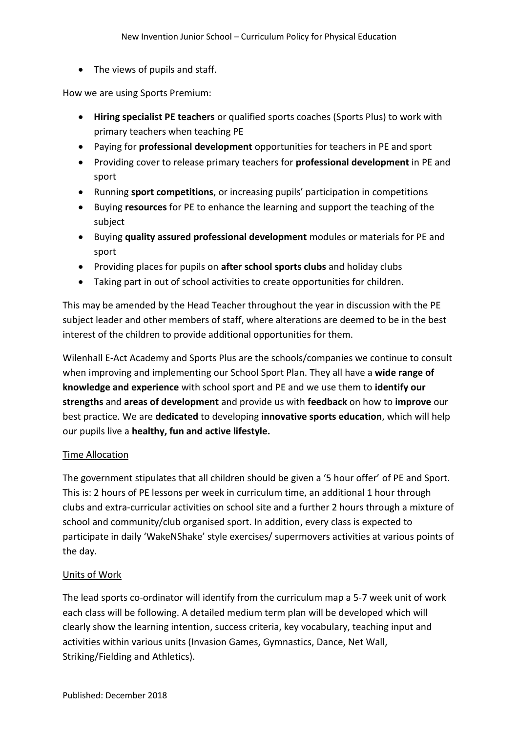• The views of pupils and staff.

How we are using Sports Premium:

- **Hiring specialist PE teachers** or qualified sports coaches (Sports Plus) to work with primary teachers when teaching PE
- Paying for **professional development** opportunities for teachers in PE and sport
- Providing cover to release primary teachers for **professional development** in PE and sport
- Running **sport competitions**, or increasing pupils' participation in competitions
- Buying **resources** for PE to enhance the learning and support the teaching of the subject
- Buying **quality assured professional development** modules or materials for PE and sport
- Providing places for pupils on **after school sports clubs** and holiday clubs
- Taking part in out of school activities to create opportunities for children.

This may be amended by the Head Teacher throughout the year in discussion with the PE subject leader and other members of staff, where alterations are deemed to be in the best interest of the children to provide additional opportunities for them.

Wilenhall E-Act Academy and Sports Plus are the schools/companies we continue to consult when improving and implementing our School Sport Plan. They all have a **wide range of knowledge and experience** with school sport and PE and we use them to **identify our strengths** and **areas of development** and provide us with **feedback** on how to **improve** our best practice. We are **dedicated** to developing **innovative sports education**, which will help our pupils live a **healthy, fun and active lifestyle.** 

#### Time Allocation

The government stipulates that all children should be given a '5 hour offer' of PE and Sport. This is: 2 hours of PE lessons per week in curriculum time, an additional 1 hour through clubs and extra-curricular activities on school site and a further 2 hours through a mixture of school and community/club organised sport. In addition, every class is expected to participate in daily 'WakeNShake' style exercises/ supermovers activities at various points of the day.

#### Units of Work

The lead sports co-ordinator will identify from the curriculum map a 5-7 week unit of work each class will be following. A detailed medium term plan will be developed which will clearly show the learning intention, success criteria, key vocabulary, teaching input and activities within various units (Invasion Games, Gymnastics, Dance, Net Wall, Striking/Fielding and Athletics).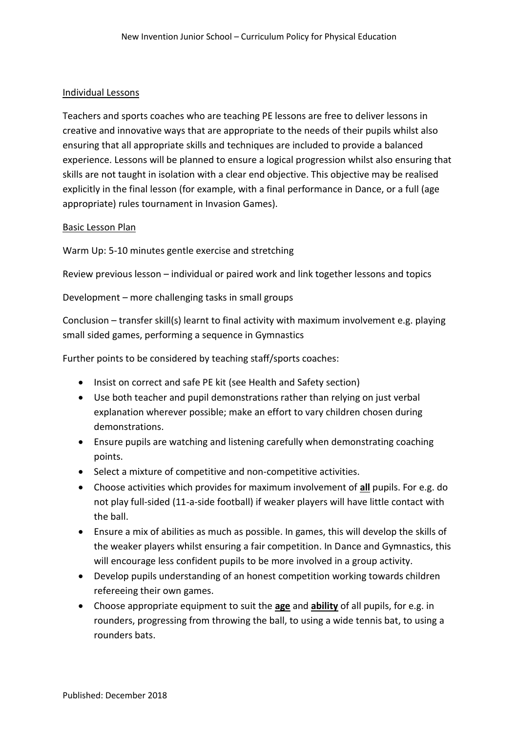#### Individual Lessons

Teachers and sports coaches who are teaching PE lessons are free to deliver lessons in creative and innovative ways that are appropriate to the needs of their pupils whilst also ensuring that all appropriate skills and techniques are included to provide a balanced experience. Lessons will be planned to ensure a logical progression whilst also ensuring that skills are not taught in isolation with a clear end objective. This objective may be realised explicitly in the final lesson (for example, with a final performance in Dance, or a full (age appropriate) rules tournament in Invasion Games).

#### Basic Lesson Plan

Warm Up: 5-10 minutes gentle exercise and stretching

Review previous lesson – individual or paired work and link together lessons and topics

Development – more challenging tasks in small groups

Conclusion – transfer skill(s) learnt to final activity with maximum involvement e.g. playing small sided games, performing a sequence in Gymnastics

Further points to be considered by teaching staff/sports coaches:

- Insist on correct and safe PE kit (see Health and Safety section)
- Use both teacher and pupil demonstrations rather than relying on just verbal explanation wherever possible; make an effort to vary children chosen during demonstrations.
- Ensure pupils are watching and listening carefully when demonstrating coaching points.
- Select a mixture of competitive and non-competitive activities.
- Choose activities which provides for maximum involvement of **all** pupils. For e.g. do not play full-sided (11-a-side football) if weaker players will have little contact with the ball.
- Ensure a mix of abilities as much as possible. In games, this will develop the skills of the weaker players whilst ensuring a fair competition. In Dance and Gymnastics, this will encourage less confident pupils to be more involved in a group activity.
- Develop pupils understanding of an honest competition working towards children refereeing their own games.
- Choose appropriate equipment to suit the **age** and **ability** of all pupils, for e.g. in rounders, progressing from throwing the ball, to using a wide tennis bat, to using a rounders bats.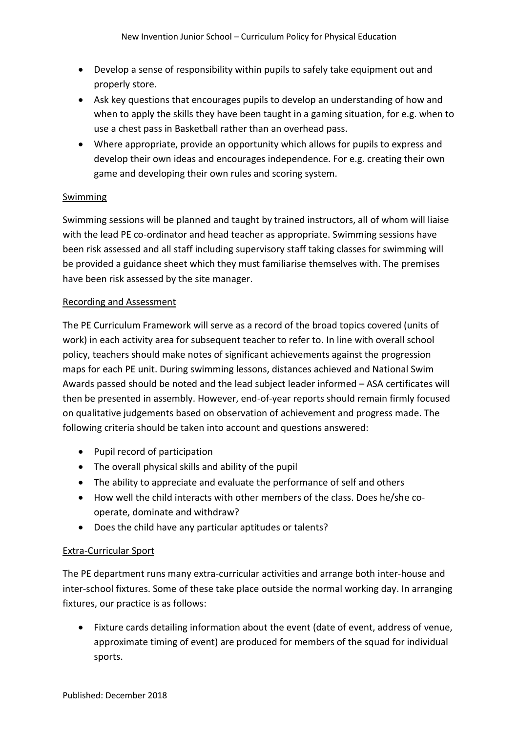- Develop a sense of responsibility within pupils to safely take equipment out and properly store.
- Ask key questions that encourages pupils to develop an understanding of how and when to apply the skills they have been taught in a gaming situation, for e.g. when to use a chest pass in Basketball rather than an overhead pass.
- Where appropriate, provide an opportunity which allows for pupils to express and develop their own ideas and encourages independence. For e.g. creating their own game and developing their own rules and scoring system.

## Swimming

Swimming sessions will be planned and taught by trained instructors, all of whom will liaise with the lead PE co-ordinator and head teacher as appropriate. Swimming sessions have been risk assessed and all staff including supervisory staff taking classes for swimming will be provided a guidance sheet which they must familiarise themselves with. The premises have been risk assessed by the site manager.

#### Recording and Assessment

The PE Curriculum Framework will serve as a record of the broad topics covered (units of work) in each activity area for subsequent teacher to refer to. In line with overall school policy, teachers should make notes of significant achievements against the progression maps for each PE unit. During swimming lessons, distances achieved and National Swim Awards passed should be noted and the lead subject leader informed – ASA certificates will then be presented in assembly. However, end-of-year reports should remain firmly focused on qualitative judgements based on observation of achievement and progress made. The following criteria should be taken into account and questions answered:

- Pupil record of participation
- The overall physical skills and ability of the pupil
- The ability to appreciate and evaluate the performance of self and others
- How well the child interacts with other members of the class. Does he/she cooperate, dominate and withdraw?
- Does the child have any particular aptitudes or talents?

#### Extra-Curricular Sport

The PE department runs many extra-curricular activities and arrange both inter-house and inter-school fixtures. Some of these take place outside the normal working day. In arranging fixtures, our practice is as follows:

 Fixture cards detailing information about the event (date of event, address of venue, approximate timing of event) are produced for members of the squad for individual sports.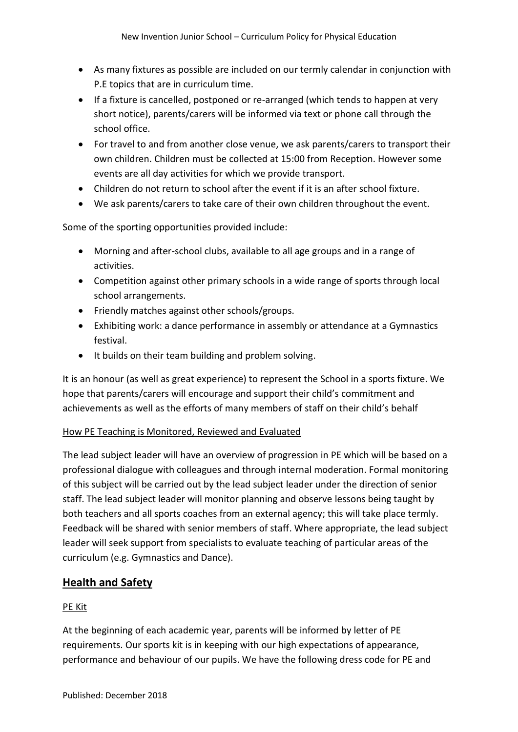- As many fixtures as possible are included on our termly calendar in conjunction with P.E topics that are in curriculum time.
- If a fixture is cancelled, postponed or re-arranged (which tends to happen at very short notice), parents/carers will be informed via text or phone call through the school office.
- For travel to and from another close venue, we ask parents/carers to transport their own children. Children must be collected at 15:00 from Reception. However some events are all day activities for which we provide transport.
- Children do not return to school after the event if it is an after school fixture.
- We ask parents/carers to take care of their own children throughout the event.

Some of the sporting opportunities provided include:

- Morning and after-school clubs, available to all age groups and in a range of activities.
- Competition against other primary schools in a wide range of sports through local school arrangements.
- Friendly matches against other schools/groups.
- Exhibiting work: a dance performance in assembly or attendance at a Gymnastics festival.
- It builds on their team building and problem solving.

It is an honour (as well as great experience) to represent the School in a sports fixture. We hope that parents/carers will encourage and support their child's commitment and achievements as well as the efforts of many members of staff on their child's behalf

#### How PE Teaching is Monitored, Reviewed and Evaluated

The lead subject leader will have an overview of progression in PE which will be based on a professional dialogue with colleagues and through internal moderation. Formal monitoring of this subject will be carried out by the lead subject leader under the direction of senior staff. The lead subject leader will monitor planning and observe lessons being taught by both teachers and all sports coaches from an external agency; this will take place termly. Feedback will be shared with senior members of staff. Where appropriate, the lead subject leader will seek support from specialists to evaluate teaching of particular areas of the curriculum (e.g. Gymnastics and Dance).

# **Health and Safety**

#### PE Kit

At the beginning of each academic year, parents will be informed by letter of PE requirements. Our sports kit is in keeping with our high expectations of appearance, performance and behaviour of our pupils. We have the following dress code for PE and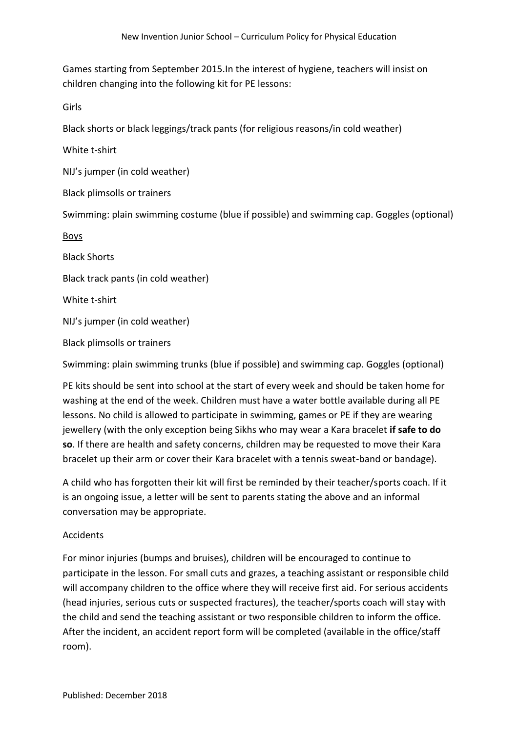Games starting from September 2015.In the interest of hygiene, teachers will insist on children changing into the following kit for PE lessons:

Girls

Black shorts or black leggings/track pants (for religious reasons/in cold weather)

White t-shirt

NIJ's jumper (in cold weather)

Black plimsolls or trainers

Swimming: plain swimming costume (blue if possible) and swimming cap. Goggles (optional)

Boys

Black Shorts

Black track pants (in cold weather)

White t-shirt

NIJ's jumper (in cold weather)

Black plimsolls or trainers

Swimming: plain swimming trunks (blue if possible) and swimming cap. Goggles (optional)

PE kits should be sent into school at the start of every week and should be taken home for washing at the end of the week. Children must have a water bottle available during all PE lessons. No child is allowed to participate in swimming, games or PE if they are wearing jewellery (with the only exception being Sikhs who may wear a Kara bracelet **if safe to do so**. If there are health and safety concerns, children may be requested to move their Kara bracelet up their arm or cover their Kara bracelet with a tennis sweat-band or bandage).

A child who has forgotten their kit will first be reminded by their teacher/sports coach. If it is an ongoing issue, a letter will be sent to parents stating the above and an informal conversation may be appropriate.

#### Accidents

For minor injuries (bumps and bruises), children will be encouraged to continue to participate in the lesson. For small cuts and grazes, a teaching assistant or responsible child will accompany children to the office where they will receive first aid. For serious accidents (head injuries, serious cuts or suspected fractures), the teacher/sports coach will stay with the child and send the teaching assistant or two responsible children to inform the office. After the incident, an accident report form will be completed (available in the office/staff room).